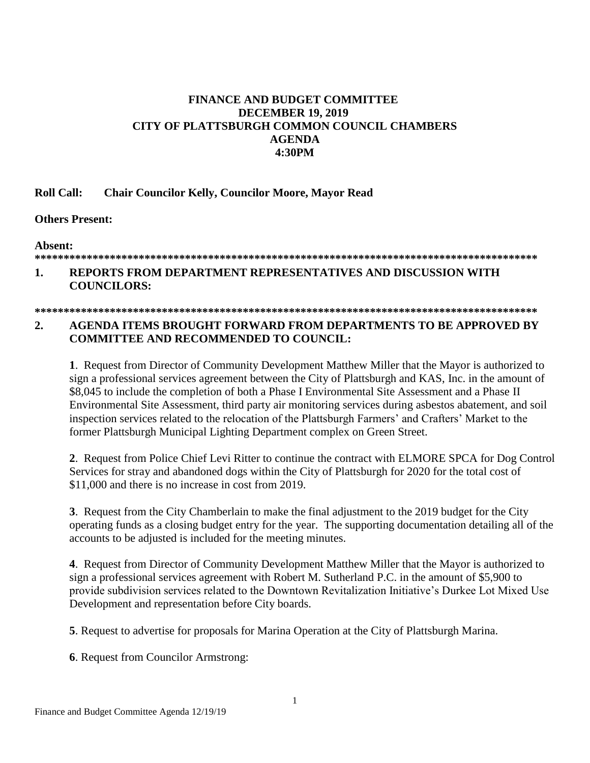# **FINANCE AND BUDGET COMMITTEE DECEMBER 19, 2019** CITY OF PLATTSBURGH COMMON COUNCIL CHAMBERS **AGENDA** 4:30PM

#### **Roll Call: Chair Councilor Kelly, Councilor Moore, Mayor Read**

## **Others Present:**

Absent:

### 

### REPORTS FROM DEPARTMENT REPRESENTATIVES AND DISCUSSION WITH 1. **COUNCILORS:**

### 

#### $\overline{2}$ . AGENDA ITEMS BROUGHT FORWARD FROM DEPARTMENTS TO BE APPROVED BY **COMMITTEE AND RECOMMENDED TO COUNCIL:**

1. Request from Director of Community Development Matthew Miller that the Mayor is authorized to sign a professional services agreement between the City of Plattsburgh and KAS, Inc. in the amount of \$8,045 to include the completion of both a Phase I Environmental Site Assessment and a Phase II Environmental Site Assessment, third party air monitoring services during asbestos abatement, and soil inspection services related to the relocation of the Plattsburgh Farmers' and Crafters' Market to the former Plattsburgh Municipal Lighting Department complex on Green Street.

2. Request from Police Chief Levi Ritter to continue the contract with ELMORE SPCA for Dog Control Services for stray and abandoned dogs within the City of Plattsburgh for 2020 for the total cost of \$11,000 and there is no increase in cost from 2019.

3. Request from the City Chamberlain to make the final adjustment to the 2019 budget for the City operating funds as a closing budget entry for the year. The supporting documentation detailing all of the accounts to be adjusted is included for the meeting minutes.

4. Request from Director of Community Development Matthew Miller that the Mayor is authorized to sign a professional services agreement with Robert M. Sutherland P.C. in the amount of \$5,900 to provide subdivision services related to the Downtown Revitalization Initiative's Durkee Lot Mixed Use Development and representation before City boards.

5. Request to advertise for proposals for Marina Operation at the City of Plattsburgh Marina.

**6.** Request from Councilor Armstrong: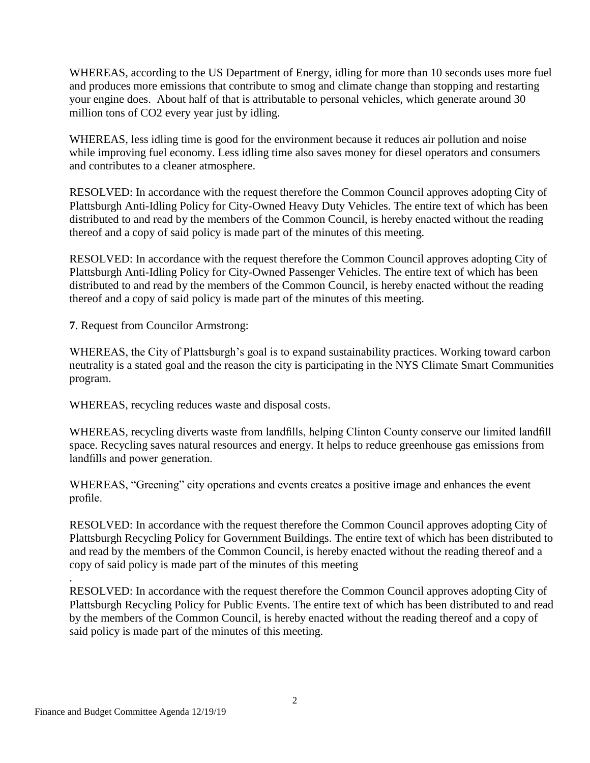WHEREAS, according to the US Department of Energy, idling for more than 10 seconds uses more fuel and produces more emissions that contribute to smog and climate change than stopping and restarting your engine does. About half of that is attributable to personal vehicles, which generate around 30 million tons of CO2 every year just by idling.

WHEREAS, less idling time is good for the environment because it reduces air pollution and noise while improving fuel economy. Less idling time also saves money for diesel operators and consumers and contributes to a cleaner atmosphere.

RESOLVED: In accordance with the request therefore the Common Council approves adopting City of Plattsburgh Anti-Idling Policy for City-Owned Heavy Duty Vehicles. The entire text of which has been distributed to and read by the members of the Common Council, is hereby enacted without the reading thereof and a copy of said policy is made part of the minutes of this meeting.

RESOLVED: In accordance with the request therefore the Common Council approves adopting City of Plattsburgh Anti-Idling Policy for City-Owned Passenger Vehicles. The entire text of which has been distributed to and read by the members of the Common Council, is hereby enacted without the reading thereof and a copy of said policy is made part of the minutes of this meeting.

**7**. Request from Councilor Armstrong:

 WHEREAS, the City of Plattsburgh's goal is to expand sustainability practices. Working toward carbon neutrality is a stated goal and the reason the city is participating in the NYS Climate Smart Communities program.

WHEREAS, recycling reduces waste and disposal costs.

WHEREAS, recycling diverts waste from landfills, helping Clinton County conserve our limited landfill space. Recycling saves natural resources and energy. It helps to reduce greenhouse gas emissions from landfills and power generation.

WHEREAS, "Greening" city operations and events creates a positive image and enhances the event profile.

RESOLVED: In accordance with the request therefore the Common Council approves adopting City of Plattsburgh Recycling Policy for Government Buildings. The entire text of which has been distributed to and read by the members of the Common Council, is hereby enacted without the reading thereof and a copy of said policy is made part of the minutes of this meeting

RESOLVED: In accordance with the request therefore the Common Council approves adopting City of Plattsburgh Recycling Policy for Public Events. The entire text of which has been distributed to and read by the members of the Common Council, is hereby enacted without the reading thereof and a copy of said policy is made part of the minutes of this meeting.

.